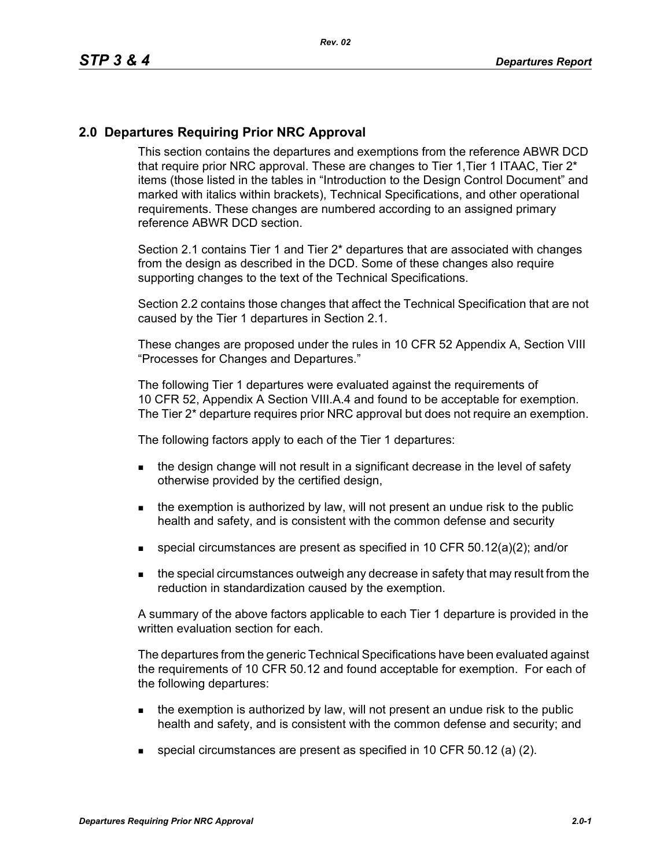## **2.0 Departures Requiring Prior NRC Approval**

This section contains the departures and exemptions from the reference ABWR DCD that require prior NRC approval. These are changes to Tier 1, Tier 1 ITAAC, Tier 2<sup>\*</sup> items (those listed in the tables in "Introduction to the Design Control Document" and marked with italics within brackets), Technical Specifications, and other operational requirements. These changes are numbered according to an assigned primary reference ABWR DCD section.

Section 2.1 contains Tier 1 and Tier 2\* departures that are associated with changes from the design as described in the DCD. Some of these changes also require supporting changes to the text of the Technical Specifications.

Section 2.2 contains those changes that affect the Technical Specification that are not caused by the Tier 1 departures in Section 2.1.

These changes are proposed under the rules in 10 CFR 52 Appendix A, Section VIII "Processes for Changes and Departures."

The following Tier 1 departures were evaluated against the requirements of 10 CFR 52, Appendix A Section VIII.A.4 and found to be acceptable for exemption. The Tier 2\* departure requires prior NRC approval but does not require an exemption.

The following factors apply to each of the Tier 1 departures:

- the design change will not result in a significant decrease in the level of safety otherwise provided by the certified design,
- $\blacksquare$  the exemption is authorized by law, will not present an undue risk to the public health and safety, and is consistent with the common defense and security
- special circumstances are present as specified in 10 CFR 50.12(a)(2); and/or
- **the special circumstances outweigh any decrease in safety that may result from the** reduction in standardization caused by the exemption.

A summary of the above factors applicable to each Tier 1 departure is provided in the written evaluation section for each.

The departures from the generic Technical Specifications have been evaluated against the requirements of 10 CFR 50.12 and found acceptable for exemption. For each of the following departures:

- $\blacksquare$  the exemption is authorized by law, will not present an undue risk to the public health and safety, and is consistent with the common defense and security; and
- special circumstances are present as specified in 10 CFR 50.12 (a) (2).